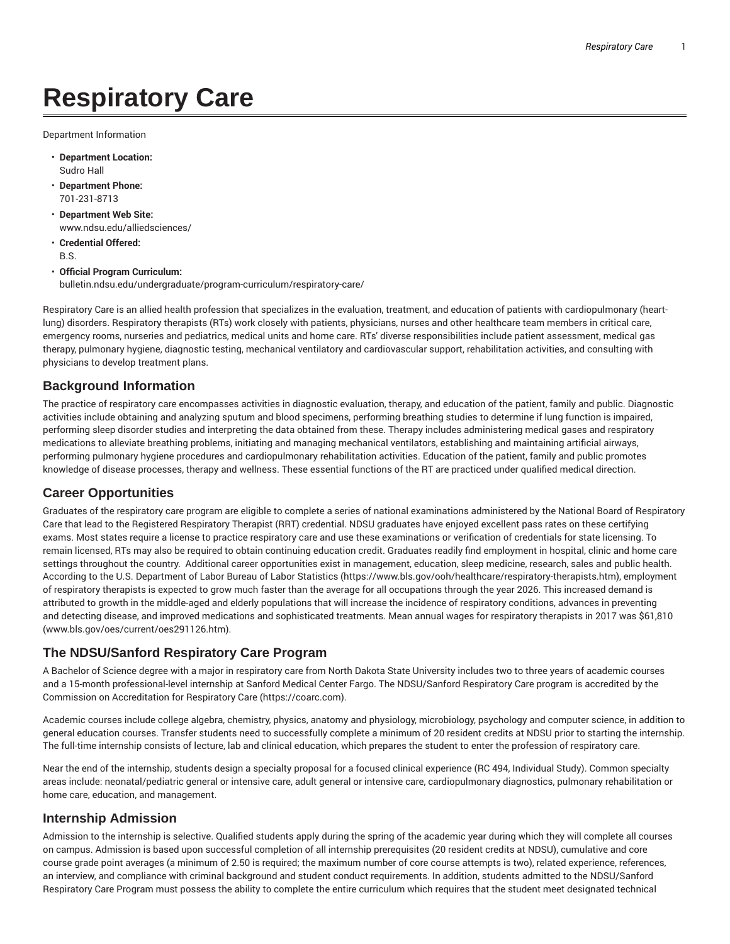# **Respiratory Care**

Department Information

- **Department Location:** Sudro Hall
- **Department Phone:** 701-231-8713
- **Department Web Site:** www.ndsu.edu/alliedsciences/
- **Credential Offered:** B.S.
- **Official Program Curriculum:** bulletin.ndsu.edu/undergraduate/program-curriculum/respiratory-care/

Respiratory Care is an allied health profession that specializes in the evaluation, treatment, and education of patients with cardiopulmonary (heartlung) disorders. Respiratory therapists (RTs) work closely with patients, physicians, nurses and other healthcare team members in critical care, emergency rooms, nurseries and pediatrics, medical units and home care. RTs' diverse responsibilities include patient assessment, medical gas therapy, pulmonary hygiene, diagnostic testing, mechanical ventilatory and cardiovascular support, rehabilitation activities, and consulting with physicians to develop treatment plans.

### **Background Information**

The practice of respiratory care encompasses activities in diagnostic evaluation, therapy, and education of the patient, family and public. Diagnostic activities include obtaining and analyzing sputum and blood specimens, performing breathing studies to determine if lung function is impaired, performing sleep disorder studies and interpreting the data obtained from these. Therapy includes administering medical gases and respiratory medications to alleviate breathing problems, initiating and managing mechanical ventilators, establishing and maintaining artificial airways, performing pulmonary hygiene procedures and cardiopulmonary rehabilitation activities. Education of the patient, family and public promotes knowledge of disease processes, therapy and wellness. These essential functions of the RT are practiced under qualified medical direction.

#### **Career Opportunities**

Graduates of the respiratory care program are eligible to complete a series of national examinations administered by the National Board of Respiratory Care that lead to the Registered Respiratory Therapist (RRT) credential. NDSU graduates have enjoyed excellent pass rates on these certifying exams. Most states require a license to practice respiratory care and use these examinations or verification of credentials for state licensing. To remain licensed, RTs may also be required to obtain continuing education credit. Graduates readily find employment in hospital, clinic and home care settings throughout the country. Additional career opportunities exist in management, education, sleep medicine, research, sales and public health. According to the U.S. Department of Labor Bureau of Labor Statistics (https://www.bls.gov/ooh/healthcare/respiratory-therapists.htm), employment of respiratory therapists is expected to grow much faster than the average for all occupations through the year 2026. This increased demand is attributed to growth in the middle-aged and elderly populations that will increase the incidence of respiratory conditions, advances in preventing and detecting disease, and improved medications and sophisticated treatments. Mean annual wages for respiratory therapists in 2017 was \$61,810 (www.bls.gov/oes/current/oes291126.htm).

## **The NDSU/Sanford Respiratory Care Program**

A Bachelor of Science degree with a major in respiratory care from North Dakota State University includes two to three years of academic courses and a 15-month professional-level internship at Sanford Medical Center Fargo. The NDSU/Sanford Respiratory Care program is accredited by the Commission on Accreditation for Respiratory Care (https://coarc.com).

Academic courses include college algebra, chemistry, physics, anatomy and physiology, microbiology, psychology and computer science, in addition to general education courses. Transfer students need to successfully complete a minimum of 20 resident credits at NDSU prior to starting the internship. The full-time internship consists of lecture, lab and clinical education, which prepares the student to enter the profession of respiratory care.

Near the end of the internship, students design a specialty proposal for a focused clinical experience (RC 494, Individual Study). Common specialty areas include: neonatal/pediatric general or intensive care, adult general or intensive care, cardiopulmonary diagnostics, pulmonary rehabilitation or home care, education, and management.

#### **Internship Admission**

Admission to the internship is selective. Qualified students apply during the spring of the academic year during which they will complete all courses on campus. Admission is based upon successful completion of all internship prerequisites (20 resident credits at NDSU), cumulative and core course grade point averages (a minimum of 2.50 is required; the maximum number of core course attempts is two), related experience, references, an interview, and compliance with criminal background and student conduct requirements. In addition, students admitted to the NDSU/Sanford Respiratory Care Program must possess the ability to complete the entire curriculum which requires that the student meet designated technical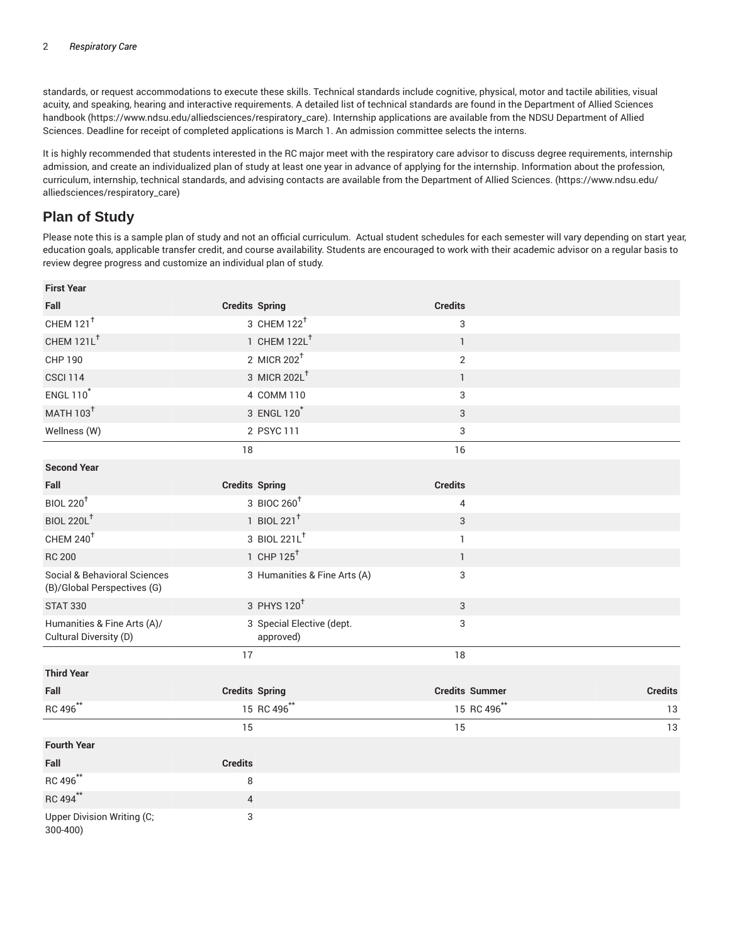standards, or request accommodations to execute these skills. Technical standards include cognitive, physical, motor and tactile abilities, visual acuity, and speaking, hearing and interactive requirements. A detailed list of technical standards are found in the Department of Allied Sciences handbook (https://www.ndsu.edu/alliedsciences/respiratory\_care). Internship applications are available from the NDSU Department of Allied Sciences. Deadline for receipt of completed applications is March 1. An admission committee selects the interns.

It is highly recommended that students interested in the RC major meet with the respiratory care advisor to discuss degree requirements, internship admission, and create an individualized plan of study at least one year in advance of applying for the internship. Information about the profession, curriculum, internship, technical standards, and advising contacts are available from the Department of Allied Sciences. (https://www.ndsu.edu/ alliedsciences/respiratory\_care)

## **Plan of Study**

Please note this is a sample plan of study and not an official curriculum. Actual student schedules for each semester will vary depending on start year, education goals, applicable transfer credit, and course availability. Students are encouraged to work with their academic advisor on a regular basis to review degree progress and customize an individual plan of study.

| <b>First Year</b>                                           |                                        |                       |                |
|-------------------------------------------------------------|----------------------------------------|-----------------------|----------------|
| Fall                                                        | <b>Credits Spring</b>                  | <b>Credits</b>        |                |
| CHEM 121 <sup>t</sup>                                       | 3 CHEM 122 <sup>+</sup>                | 3                     |                |
| CHEM 121L <sup>+</sup>                                      | 1 CHEM 122L <sup>+</sup>               | $\mathbf{1}$          |                |
| CHP 190                                                     | 2 MICR $202^{\dagger}$                 | $\overline{2}$        |                |
| <b>CSCI 114</b>                                             | 3 MICR 202L <sup>+</sup>               | $\mathbf{1}$          |                |
| <b>ENGL 110<sup>*</sup></b>                                 | 4 COMM 110                             | 3                     |                |
| <b>MATH 103<sup>+</sup></b>                                 | 3 ENGL 120 <sup>*</sup>                | 3                     |                |
| Wellness (W)                                                | 2 PSYC 111                             | 3                     |                |
|                                                             | 18                                     | 16                    |                |
| <b>Second Year</b>                                          |                                        |                       |                |
| Fall                                                        | <b>Credits Spring</b>                  | <b>Credits</b>        |                |
| <b>BIOL 220<sup>+</sup></b>                                 | 3 BIOC 260 <sup>+</sup>                | $\pmb{4}$             |                |
| <b>BIOL 220L<sup>+</sup></b>                                | 1 BIOL 221 <sup>+</sup>                | 3                     |                |
| CHEM 240 <sup>+</sup>                                       | 3 BIOL 221L <sup>+</sup>               | $\mathbf{1}$          |                |
| <b>RC 200</b>                                               | 1 CHP $125^{\dagger}$                  | $\mathbb{1}$          |                |
| Social & Behavioral Sciences<br>(B)/Global Perspectives (G) | 3 Humanities & Fine Arts (A)           | 3                     |                |
| <b>STAT 330</b>                                             | 3 PHYS 120 <sup>+</sup>                | $\sqrt{3}$            |                |
| Humanities & Fine Arts (A)/<br>Cultural Diversity (D)       | 3 Special Elective (dept.<br>approved) | 3                     |                |
|                                                             | 17                                     | 18                    |                |
| <b>Third Year</b>                                           |                                        |                       |                |
| Fall                                                        | <b>Credits Spring</b>                  | <b>Credits Summer</b> | <b>Credits</b> |
| RC 496**                                                    | 15 RC 496**                            | 15 RC 496**           | 13             |
|                                                             | 15                                     | 15                    | 13             |
| <b>Fourth Year</b>                                          |                                        |                       |                |
| Fall                                                        | <b>Credits</b>                         |                       |                |
| RC 496**                                                    | 8                                      |                       |                |
| RC 494**                                                    | $\sqrt{4}$                             |                       |                |
| Upper Division Writing (C;<br>300-400)                      | 3                                      |                       |                |